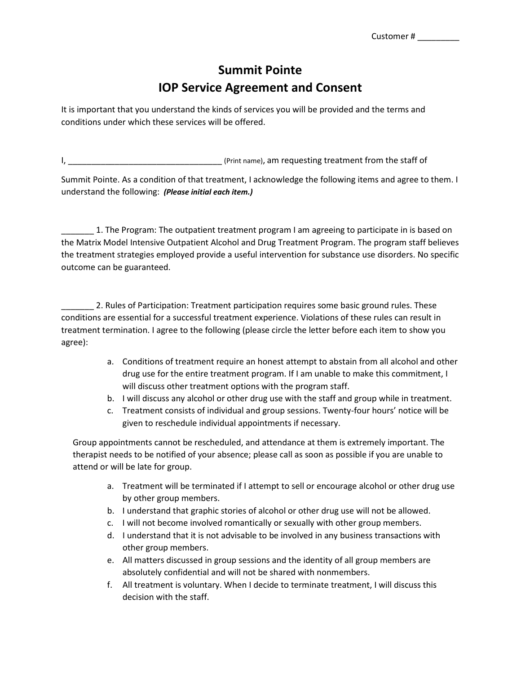## **Summit Pointe IOP Service Agreement and Consent**

It is important that you understand the kinds of services you will be provided and the terms and conditions under which these services will be offered.

I, \_\_\_\_\_\_\_\_\_\_\_\_\_\_\_\_\_\_\_\_\_\_\_\_\_\_\_\_\_\_\_\_\_ (Print name), am requesting treatment from the staff of

Summit Pointe. As a condition of that treatment, I acknowledge the following items and agree to them. I understand the following: *(Please initial each item.)*

1. The Program: The outpatient treatment program I am agreeing to participate in is based on the Matrix Model Intensive Outpatient Alcohol and Drug Treatment Program. The program staff believes the treatment strategies employed provide a useful intervention for substance use disorders. No specific outcome can be guaranteed.

2. Rules of Participation: Treatment participation requires some basic ground rules. These conditions are essential for a successful treatment experience. Violations of these rules can result in treatment termination. I agree to the following (please circle the letter before each item to show you agree):

- a. Conditions of treatment require an honest attempt to abstain from all alcohol and other drug use for the entire treatment program. If I am unable to make this commitment, I will discuss other treatment options with the program staff.
- b. I will discuss any alcohol or other drug use with the staff and group while in treatment.
- c. Treatment consists of individual and group sessions. Twenty-four hours' notice will be given to reschedule individual appointments if necessary.

Group appointments cannot be rescheduled, and attendance at them is extremely important. The therapist needs to be notified of your absence; please call as soon as possible if you are unable to attend or will be late for group.

- a. Treatment will be terminated if I attempt to sell or encourage alcohol or other drug use by other group members.
- b. I understand that graphic stories of alcohol or other drug use will not be allowed.
- c. I will not become involved romantically or sexually with other group members.
- d. I understand that it is not advisable to be involved in any business transactions with other group members.
- e. All matters discussed in group sessions and the identity of all group members are absolutely confidential and will not be shared with nonmembers.
- f. All treatment is voluntary. When I decide to terminate treatment, I will discuss this decision with the staff.